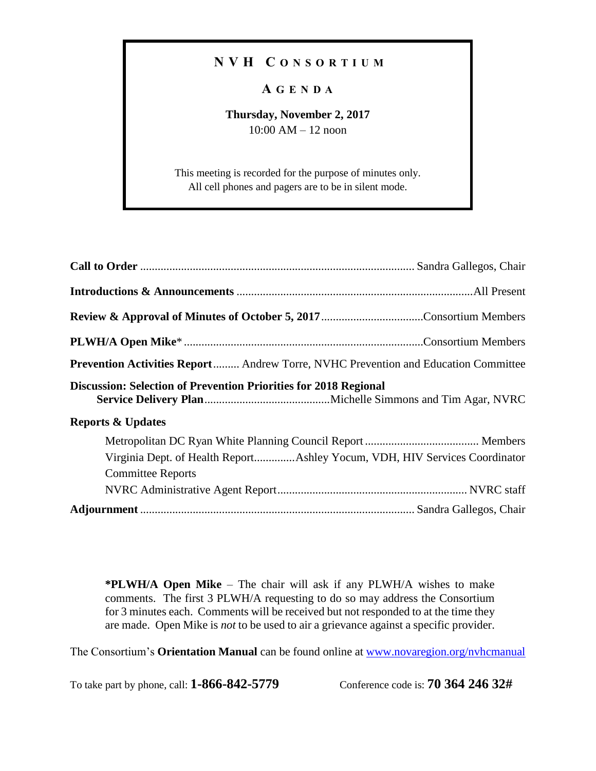## **N V H C O N S O R T I U M**

## **A G E N D A**

## **Thursday, November 2, 2017** 10:00 AM – 12 noon

This meeting is recorded for the purpose of minutes only. All cell phones and pagers are to be in silent mode.

| <b>Prevention Activities Report Andrew Torre, NVHC Prevention and Education Committee</b> |  |
|-------------------------------------------------------------------------------------------|--|
| Discussion: Selection of Prevention Priorities for 2018 Regional                          |  |
| <b>Reports &amp; Updates</b>                                                              |  |
|                                                                                           |  |
| Virginia Dept. of Health ReportAshley Yocum, VDH, HIV Services Coordinator                |  |
| <b>Committee Reports</b>                                                                  |  |
|                                                                                           |  |
|                                                                                           |  |

**\*PLWH/A Open Mike** – The chair will ask if any PLWH/A wishes to make comments. The first 3 PLWH/A requesting to do so may address the Consortium for 3 minutes each. Comments will be received but not responded to at the time they are made. Open Mike is *not* to be used to air a grievance against a specific provider.

The Consortium's **Orientation Manual** can be found online at [www.novaregion.org/nvhcmanual](http://www.novaregion.org/nvhcmanual)

To take part by phone, call: **1-866-842-5779** Conference code is: **70 364 246 32#**